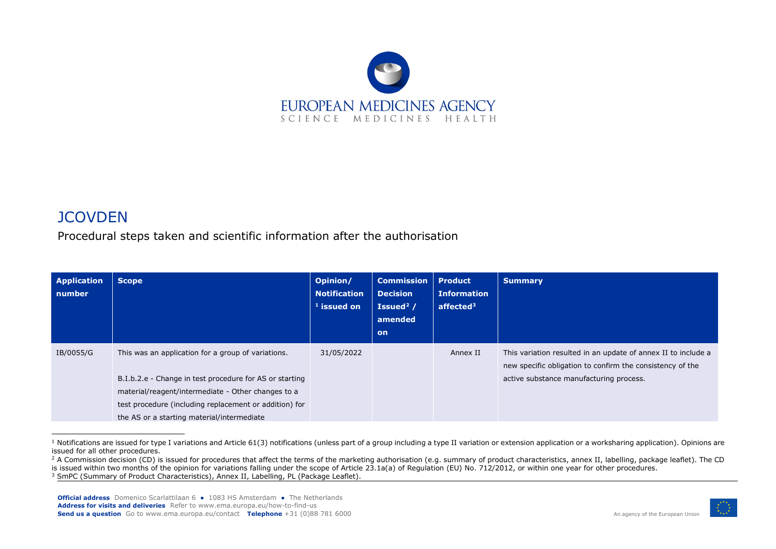<span id="page-0-2"></span><span id="page-0-1"></span><span id="page-0-0"></span>

## **JCOVDEN**

Procedural steps taken and scientific information after the authorisation

| <b>Scope</b>                                                                                                                                                                                                                  | Opinion/<br><b>Notification</b><br>$1$ issued on | <b>Commission</b><br><b>Decision</b><br>Issued <sup>2</sup> /<br>amended<br>on | <b>Product</b><br><b>Information</b><br>affected $3$ | <b>Summary</b>                                                                                                                                                        |
|-------------------------------------------------------------------------------------------------------------------------------------------------------------------------------------------------------------------------------|--------------------------------------------------|--------------------------------------------------------------------------------|------------------------------------------------------|-----------------------------------------------------------------------------------------------------------------------------------------------------------------------|
| This was an application for a group of variations.<br>B.I.b.2.e - Change in test procedure for AS or starting<br>material/reagent/intermediate - Other changes to a<br>test procedure (including replacement or addition) for | 31/05/2022                                       |                                                                                | Annex II                                             | This variation resulted in an update of annex II to include a<br>new specific obligation to confirm the consistency of the<br>active substance manufacturing process. |
|                                                                                                                                                                                                                               | the AS or a starting material/intermediate       |                                                                                |                                                      |                                                                                                                                                                       |

<sup>&</sup>lt;sup>1</sup> Notifications are issued for type I variations and Article 61(3) notifications (unless part of a group including a type II variation or extension application or a worksharing application). Opinions are issued for all other procedures.



<sup>&</sup>lt;sup>2</sup> A Commission decision (CD) is issued for procedures that affect the terms of the marketing authorisation (e.g. summary of product characteristics, annex II, labelling, package leaflet). The CD is issued within two months of the opinion for variations falling under the scope of Article 23.1a(a) of Regulation (EU) No. 712/2012, or within one year for other procedures. <sup>3</sup> SmPC (Summary of Product Characteristics), Annex II, Labelling, PL (Package Leaflet).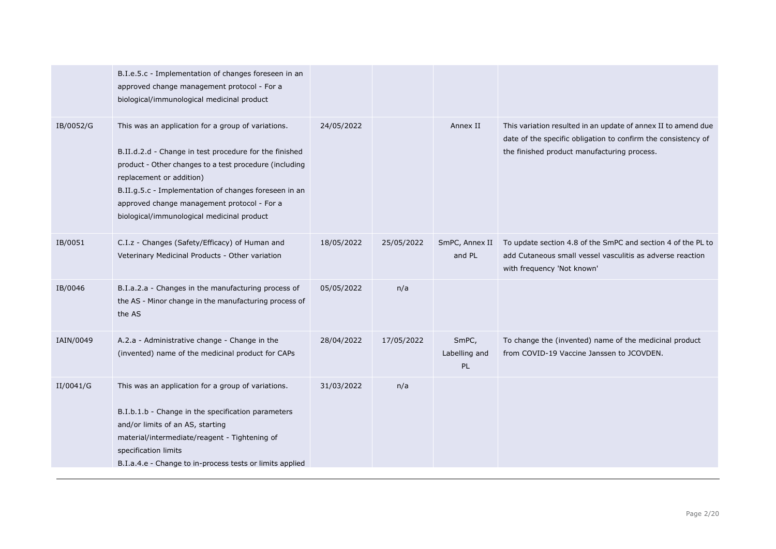|           | B.I.e.5.c - Implementation of changes foreseen in an<br>approved change management protocol - For a<br>biological/immunological medicinal product                                                                                                                                                                                                        |            |            |                                     |                                                                                                                                                                               |
|-----------|----------------------------------------------------------------------------------------------------------------------------------------------------------------------------------------------------------------------------------------------------------------------------------------------------------------------------------------------------------|------------|------------|-------------------------------------|-------------------------------------------------------------------------------------------------------------------------------------------------------------------------------|
| IB/0052/G | This was an application for a group of variations.<br>B.II.d.2.d - Change in test procedure for the finished<br>product - Other changes to a test procedure (including<br>replacement or addition)<br>B.II.g.5.c - Implementation of changes foreseen in an<br>approved change management protocol - For a<br>biological/immunological medicinal product | 24/05/2022 |            | Annex II                            | This variation resulted in an update of annex II to amend due<br>date of the specific obligation to confirm the consistency of<br>the finished product manufacturing process. |
| IB/0051   | C.I.z - Changes (Safety/Efficacy) of Human and<br>Veterinary Medicinal Products - Other variation                                                                                                                                                                                                                                                        | 18/05/2022 | 25/05/2022 | SmPC, Annex II<br>and PL            | To update section 4.8 of the SmPC and section 4 of the PL to<br>add Cutaneous small vessel vasculitis as adverse reaction<br>with frequency 'Not known'                       |
| IB/0046   | B.I.a.2.a - Changes in the manufacturing process of<br>the AS - Minor change in the manufacturing process of<br>the AS                                                                                                                                                                                                                                   | 05/05/2022 | n/a        |                                     |                                                                                                                                                                               |
| IAIN/0049 | A.2.a - Administrative change - Change in the<br>(invented) name of the medicinal product for CAPs                                                                                                                                                                                                                                                       | 28/04/2022 | 17/05/2022 | SmPC,<br>Labelling and<br><b>PL</b> | To change the (invented) name of the medicinal product<br>from COVID-19 Vaccine Janssen to JCOVDEN.                                                                           |
| II/0041/G | This was an application for a group of variations.<br>B.I.b.1.b - Change in the specification parameters<br>and/or limits of an AS, starting<br>material/intermediate/reagent - Tightening of<br>specification limits<br>B.I.a.4.e - Change to in-process tests or limits applied                                                                        | 31/03/2022 | n/a        |                                     |                                                                                                                                                                               |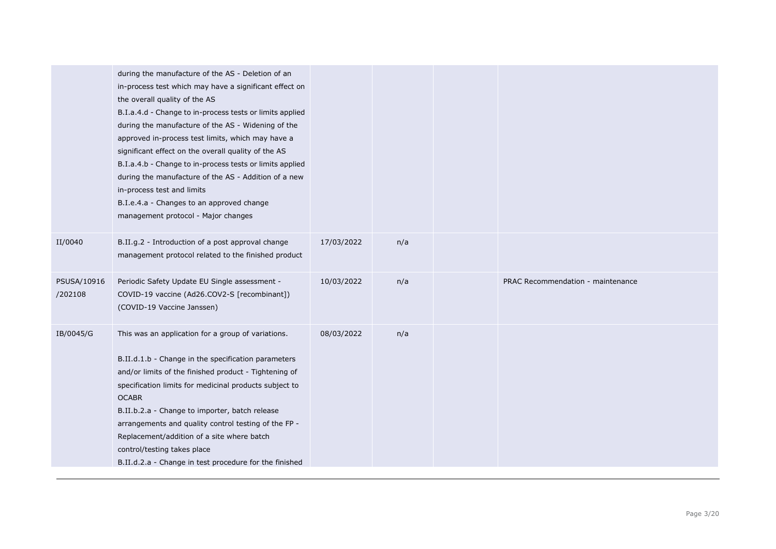|                        | during the manufacture of the AS - Deletion of an<br>in-process test which may have a significant effect on<br>the overall quality of the AS<br>B.I.a.4.d - Change to in-process tests or limits applied<br>during the manufacture of the AS - Widening of the<br>approved in-process test limits, which may have a<br>significant effect on the overall quality of the AS<br>B.I.a.4.b - Change to in-process tests or limits applied<br>during the manufacture of the AS - Addition of a new<br>in-process test and limits<br>B.I.e.4.a - Changes to an approved change<br>management protocol - Major changes |            |     |                                   |
|------------------------|------------------------------------------------------------------------------------------------------------------------------------------------------------------------------------------------------------------------------------------------------------------------------------------------------------------------------------------------------------------------------------------------------------------------------------------------------------------------------------------------------------------------------------------------------------------------------------------------------------------|------------|-----|-----------------------------------|
| II/0040                | B.II.g.2 - Introduction of a post approval change<br>management protocol related to the finished product                                                                                                                                                                                                                                                                                                                                                                                                                                                                                                         | 17/03/2022 | n/a |                                   |
| PSUSA/10916<br>/202108 | Periodic Safety Update EU Single assessment -<br>COVID-19 vaccine (Ad26.COV2-S [recombinant])<br>(COVID-19 Vaccine Janssen)                                                                                                                                                                                                                                                                                                                                                                                                                                                                                      | 10/03/2022 | n/a | PRAC Recommendation - maintenance |
| IB/0045/G              | This was an application for a group of variations.<br>B.II.d.1.b - Change in the specification parameters<br>and/or limits of the finished product - Tightening of<br>specification limits for medicinal products subject to<br><b>OCABR</b><br>B.II.b.2.a - Change to importer, batch release<br>arrangements and quality control testing of the FP -<br>Replacement/addition of a site where batch<br>control/testing takes place<br>B.II.d.2.a - Change in test procedure for the finished                                                                                                                    | 08/03/2022 | n/a |                                   |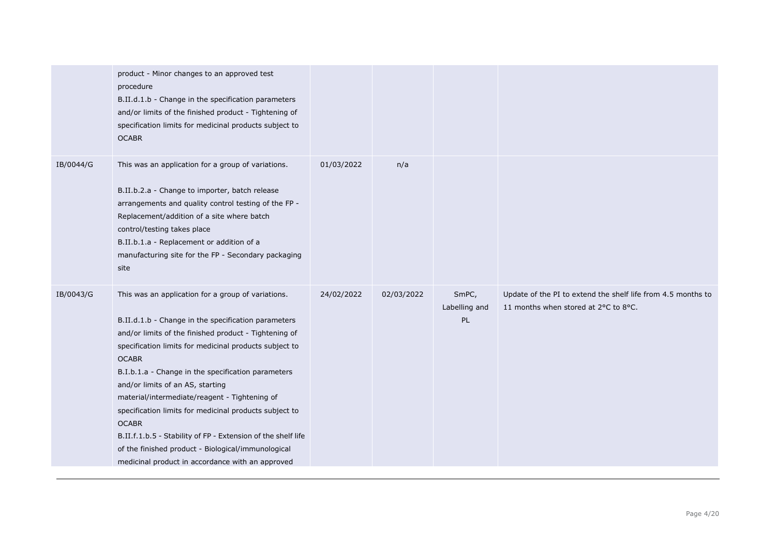|           | product - Minor changes to an approved test<br>procedure<br>B.II.d.1.b - Change in the specification parameters<br>and/or limits of the finished product - Tightening of<br>specification limits for medicinal products subject to<br><b>OCABR</b>                                                                                                                                                                                                                                                                                                                                                                                          |            |            |                              |                                                                                                      |
|-----------|---------------------------------------------------------------------------------------------------------------------------------------------------------------------------------------------------------------------------------------------------------------------------------------------------------------------------------------------------------------------------------------------------------------------------------------------------------------------------------------------------------------------------------------------------------------------------------------------------------------------------------------------|------------|------------|------------------------------|------------------------------------------------------------------------------------------------------|
| IB/0044/G | This was an application for a group of variations.<br>B.II.b.2.a - Change to importer, batch release<br>arrangements and quality control testing of the FP -<br>Replacement/addition of a site where batch<br>control/testing takes place<br>B.II.b.1.a - Replacement or addition of a<br>manufacturing site for the FP - Secondary packaging<br>site                                                                                                                                                                                                                                                                                       | 01/03/2022 | n/a        |                              |                                                                                                      |
| IB/0043/G | This was an application for a group of variations.<br>B.II.d.1.b - Change in the specification parameters<br>and/or limits of the finished product - Tightening of<br>specification limits for medicinal products subject to<br><b>OCABR</b><br>B.I.b.1.a - Change in the specification parameters<br>and/or limits of an AS, starting<br>material/intermediate/reagent - Tightening of<br>specification limits for medicinal products subject to<br><b>OCABR</b><br>B.II.f.1.b.5 - Stability of FP - Extension of the shelf life<br>of the finished product - Biological/immunological<br>medicinal product in accordance with an approved | 24/02/2022 | 02/03/2022 | SmPC,<br>Labelling and<br>PL | Update of the PI to extend the shelf life from 4.5 months to<br>11 months when stored at 2°C to 8°C. |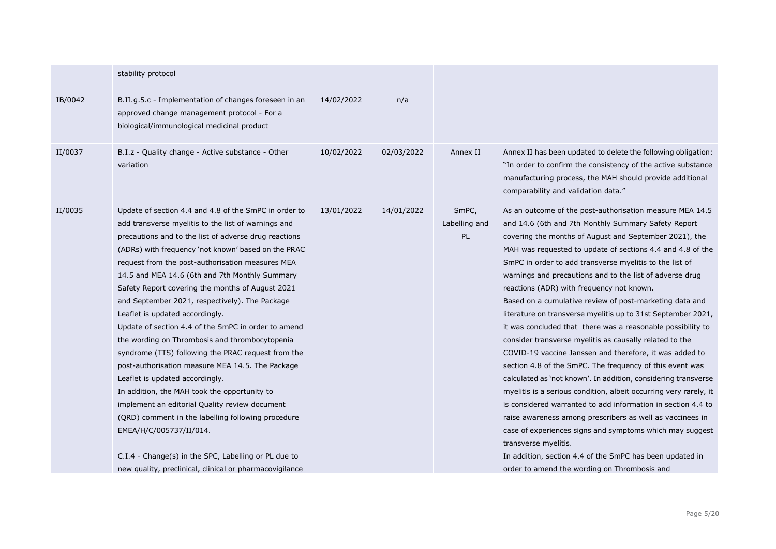|         | stability protocol                                                                                                                                                                                                                                                                                                                                                                                                                                                                                                                                                                                                                                                                                                                                                                                                                                                                                                                                                                                                                      |            |            |                              |                                                                                                                                                                                                                                                                                                                                                                                                                                                                                                                                                                                                                                                                                                                                                                                                                                                                                                                                                                                                                                                                                                                                                                                                                                                             |
|---------|-----------------------------------------------------------------------------------------------------------------------------------------------------------------------------------------------------------------------------------------------------------------------------------------------------------------------------------------------------------------------------------------------------------------------------------------------------------------------------------------------------------------------------------------------------------------------------------------------------------------------------------------------------------------------------------------------------------------------------------------------------------------------------------------------------------------------------------------------------------------------------------------------------------------------------------------------------------------------------------------------------------------------------------------|------------|------------|------------------------------|-------------------------------------------------------------------------------------------------------------------------------------------------------------------------------------------------------------------------------------------------------------------------------------------------------------------------------------------------------------------------------------------------------------------------------------------------------------------------------------------------------------------------------------------------------------------------------------------------------------------------------------------------------------------------------------------------------------------------------------------------------------------------------------------------------------------------------------------------------------------------------------------------------------------------------------------------------------------------------------------------------------------------------------------------------------------------------------------------------------------------------------------------------------------------------------------------------------------------------------------------------------|
| IB/0042 | B.II.g.5.c - Implementation of changes foreseen in an<br>approved change management protocol - For a<br>biological/immunological medicinal product                                                                                                                                                                                                                                                                                                                                                                                                                                                                                                                                                                                                                                                                                                                                                                                                                                                                                      | 14/02/2022 | n/a        |                              |                                                                                                                                                                                                                                                                                                                                                                                                                                                                                                                                                                                                                                                                                                                                                                                                                                                                                                                                                                                                                                                                                                                                                                                                                                                             |
| II/0037 | B.I.z - Quality change - Active substance - Other<br>variation                                                                                                                                                                                                                                                                                                                                                                                                                                                                                                                                                                                                                                                                                                                                                                                                                                                                                                                                                                          | 10/02/2022 | 02/03/2022 | Annex II                     | Annex II has been updated to delete the following obligation:<br>"In order to confirm the consistency of the active substance<br>manufacturing process, the MAH should provide additional<br>comparability and validation data."                                                                                                                                                                                                                                                                                                                                                                                                                                                                                                                                                                                                                                                                                                                                                                                                                                                                                                                                                                                                                            |
| II/0035 | Update of section 4.4 and 4.8 of the SmPC in order to<br>add transverse myelitis to the list of warnings and<br>precautions and to the list of adverse drug reactions<br>(ADRs) with frequency 'not known' based on the PRAC<br>request from the post-authorisation measures MEA<br>14.5 and MEA 14.6 (6th and 7th Monthly Summary<br>Safety Report covering the months of August 2021<br>and September 2021, respectively). The Package<br>Leaflet is updated accordingly.<br>Update of section 4.4 of the SmPC in order to amend<br>the wording on Thrombosis and thrombocytopenia<br>syndrome (TTS) following the PRAC request from the<br>post-authorisation measure MEA 14.5. The Package<br>Leaflet is updated accordingly.<br>In addition, the MAH took the opportunity to<br>implement an editorial Quality review document<br>(QRD) comment in the labelling following procedure<br>EMEA/H/C/005737/II/014.<br>C.I.4 - Change(s) in the SPC, Labelling or PL due to<br>new quality, preclinical, clinical or pharmacovigilance | 13/01/2022 | 14/01/2022 | SmPC,<br>Labelling and<br>PL | As an outcome of the post-authorisation measure MEA 14.5<br>and 14.6 (6th and 7th Monthly Summary Safety Report<br>covering the months of August and September 2021), the<br>MAH was requested to update of sections 4.4 and 4.8 of the<br>SmPC in order to add transverse myelitis to the list of<br>warnings and precautions and to the list of adverse drug<br>reactions (ADR) with frequency not known.<br>Based on a cumulative review of post-marketing data and<br>literature on transverse myelitis up to 31st September 2021,<br>it was concluded that there was a reasonable possibility to<br>consider transverse myelitis as causally related to the<br>COVID-19 vaccine Janssen and therefore, it was added to<br>section 4.8 of the SmPC. The frequency of this event was<br>calculated as 'not known'. In addition, considering transverse<br>myelitis is a serious condition, albeit occurring very rarely, it<br>is considered warranted to add information in section 4.4 to<br>raise awareness among prescribers as well as vaccinees in<br>case of experiences signs and symptoms which may suggest<br>transverse myelitis.<br>In addition, section 4.4 of the SmPC has been updated in<br>order to amend the wording on Thrombosis and |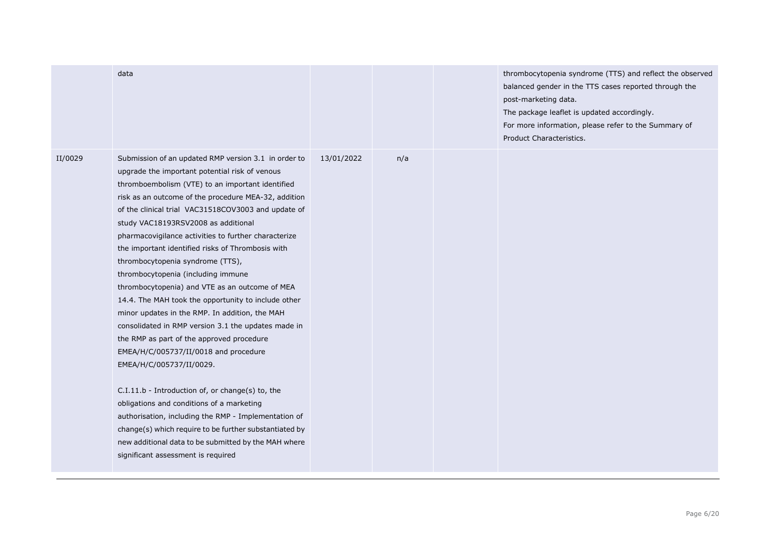|         | data                                                                                                                                                                                                                                                                                                                                                                                                                                                                                                                                                                                                                                                                                                                                                                                                                                                                                                                                                                                                                                                                                                                                                         |            |     | thrombocytopenia syndrome (TTS) and reflect the observed<br>balanced gender in the TTS cases reported through the<br>post-marketing data.<br>The package leaflet is updated accordingly.<br>For more information, please refer to the Summary of<br>Product Characteristics. |
|---------|--------------------------------------------------------------------------------------------------------------------------------------------------------------------------------------------------------------------------------------------------------------------------------------------------------------------------------------------------------------------------------------------------------------------------------------------------------------------------------------------------------------------------------------------------------------------------------------------------------------------------------------------------------------------------------------------------------------------------------------------------------------------------------------------------------------------------------------------------------------------------------------------------------------------------------------------------------------------------------------------------------------------------------------------------------------------------------------------------------------------------------------------------------------|------------|-----|------------------------------------------------------------------------------------------------------------------------------------------------------------------------------------------------------------------------------------------------------------------------------|
| II/0029 | Submission of an updated RMP version 3.1 in order to<br>upgrade the important potential risk of venous<br>thromboembolism (VTE) to an important identified<br>risk as an outcome of the procedure MEA-32, addition<br>of the clinical trial VAC31518COV3003 and update of<br>study VAC18193RSV2008 as additional<br>pharmacovigilance activities to further characterize<br>the important identified risks of Thrombosis with<br>thrombocytopenia syndrome (TTS),<br>thrombocytopenia (including immune<br>thrombocytopenia) and VTE as an outcome of MEA<br>14.4. The MAH took the opportunity to include other<br>minor updates in the RMP. In addition, the MAH<br>consolidated in RMP version 3.1 the updates made in<br>the RMP as part of the approved procedure<br>EMEA/H/C/005737/II/0018 and procedure<br>EMEA/H/C/005737/II/0029.<br>C.I.11.b - Introduction of, or change(s) to, the<br>obligations and conditions of a marketing<br>authorisation, including the RMP - Implementation of<br>change(s) which require to be further substantiated by<br>new additional data to be submitted by the MAH where<br>significant assessment is required | 13/01/2022 | n/a |                                                                                                                                                                                                                                                                              |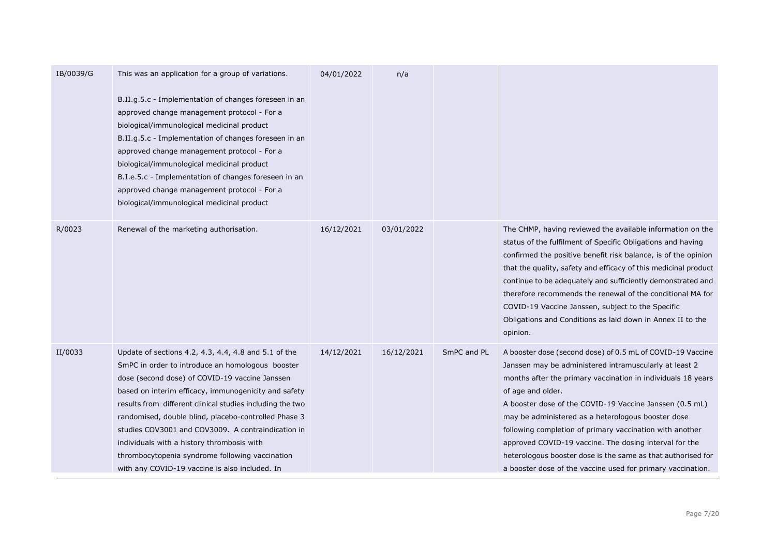| IB/0039/G | This was an application for a group of variations.                                                                                                                                                                                                                                                                                                                                                                                                                                                                                               | 04/01/2022 | n/a        |             |                                                                                                                                                                                                                                                                                                                                                                                                                                                                                                                                                                                 |
|-----------|--------------------------------------------------------------------------------------------------------------------------------------------------------------------------------------------------------------------------------------------------------------------------------------------------------------------------------------------------------------------------------------------------------------------------------------------------------------------------------------------------------------------------------------------------|------------|------------|-------------|---------------------------------------------------------------------------------------------------------------------------------------------------------------------------------------------------------------------------------------------------------------------------------------------------------------------------------------------------------------------------------------------------------------------------------------------------------------------------------------------------------------------------------------------------------------------------------|
|           | B.II.g.5.c - Implementation of changes foreseen in an<br>approved change management protocol - For a<br>biological/immunological medicinal product<br>B.II.g.5.c - Implementation of changes foreseen in an<br>approved change management protocol - For a<br>biological/immunological medicinal product<br>B.I.e.5.c - Implementation of changes foreseen in an<br>approved change management protocol - For a<br>biological/immunological medicinal product                                                                                    |            |            |             |                                                                                                                                                                                                                                                                                                                                                                                                                                                                                                                                                                                 |
| R/0023    | Renewal of the marketing authorisation.                                                                                                                                                                                                                                                                                                                                                                                                                                                                                                          | 16/12/2021 | 03/01/2022 |             | The CHMP, having reviewed the available information on the<br>status of the fulfilment of Specific Obligations and having<br>confirmed the positive benefit risk balance, is of the opinion<br>that the quality, safety and efficacy of this medicinal product<br>continue to be adequately and sufficiently demonstrated and<br>therefore recommends the renewal of the conditional MA for<br>COVID-19 Vaccine Janssen, subject to the Specific<br>Obligations and Conditions as laid down in Annex II to the<br>opinion.                                                      |
| II/0033   | Update of sections 4.2, 4.3, 4.4, 4.8 and 5.1 of the<br>SmPC in order to introduce an homologous booster<br>dose (second dose) of COVID-19 vaccine Janssen<br>based on interim efficacy, immunogenicity and safety<br>results from different clinical studies including the two<br>randomised, double blind, placebo-controlled Phase 3<br>studies COV3001 and COV3009. A contraindication in<br>individuals with a history thrombosis with<br>thrombocytopenia syndrome following vaccination<br>with any COVID-19 vaccine is also included. In | 14/12/2021 | 16/12/2021 | SmPC and PL | A booster dose (second dose) of 0.5 mL of COVID-19 Vaccine<br>Janssen may be administered intramuscularly at least 2<br>months after the primary vaccination in individuals 18 years<br>of age and older.<br>A booster dose of the COVID-19 Vaccine Janssen (0.5 mL)<br>may be administered as a heterologous booster dose<br>following completion of primary vaccination with another<br>approved COVID-19 vaccine. The dosing interval for the<br>heterologous booster dose is the same as that authorised for<br>a booster dose of the vaccine used for primary vaccination. |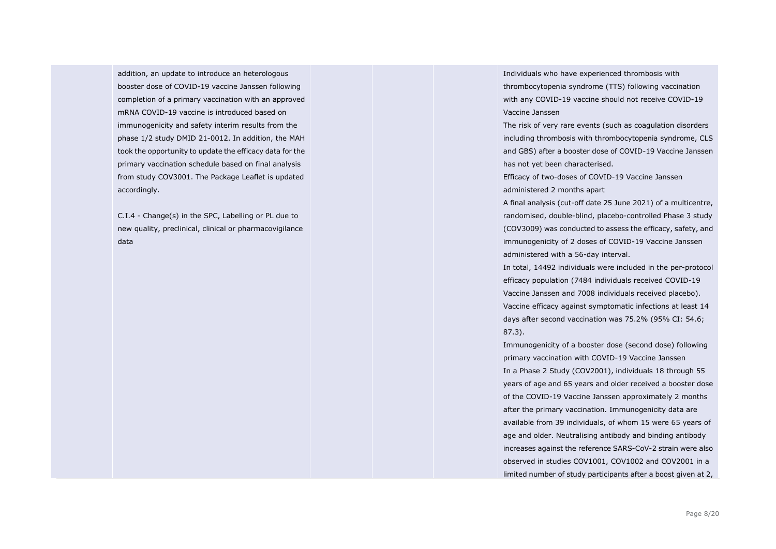addition, an update to introduce an heterologous booster dose of COVID-19 vaccine Janssen following completion of a primary vaccination with an approved mRNA COVID-19 vaccine is introduced based on immunogenicity and safety interim results from the phase 1/2 study DMID 21-0012. In addition, the MAH took the opportunity to update the efficacy data for the primary vaccination schedule based on final analysis from study COV3001. The Package Leaflet is updated accordingly.

C.I.4 - Change(s) in the SPC, Labelling or PL due to new quality, preclinical, clinical or pharmacovigilance data

Individuals who have experienced thrombosis with thrombocytopenia syndrome (TTS) following vaccination with any COVID-19 vaccine should not receive COVID-19 Vaccine Janssen

The risk of very rare events (such as coagulation disorders including thrombosis with thrombocytopenia syndrome, CLS and GBS) after a booster dose of COVID-19 Vaccine Janssen has not yet been characterised.

Efficacy of two-doses of COVID-19 Vaccine Janssen administered 2 months apart

A final analysis (cut-off date 25 June 2021) of a multicentre, randomised, double-blind, placebo-controlled Phase 3 study (COV3009) was conducted to assess the efficacy, safety, and immunogenicity of 2 doses of COVID-19 Vaccine Janssen administered with a 56-day interval.

In total, 14492 individuals were included in the per-protocol efficacy population (7484 individuals received COVID-19 Vaccine Janssen and 7008 individuals received placebo). Vaccine efficacy against symptomatic infections at least 14 days after second vaccination was 75.2% (95% CI: 54.6; 87.3).

Immunogenicity of a booster dose (second dose) following primary vaccination with COVID-19 Vaccine Janssen In a Phase 2 Study (COV2001), individuals 18 through 55 years of age and 65 years and older received a booster dose of the COVID-19 Vaccine Janssen approximately 2 months after the primary vaccination. Immunogenicity data are available from 39 individuals, of whom 15 were 65 years of age and older. Neutralising antibody and binding antibody increases against the reference SARS-CoV-2 strain were also observed in studies COV1001, COV1002 and COV2001 in a limited number of study participants after a boost given at 2,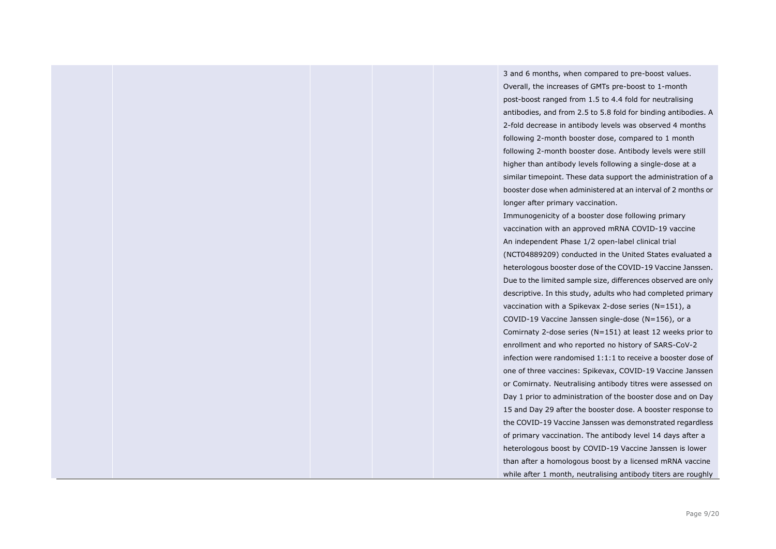3 and 6 months, when compared to pre-boost values. Overall, the increases of GMTs pre-boost to 1-month post-boost ranged from 1.5 to 4.4 fold for neutralising antibodies, and from 2.5 to 5.8 fold for binding antibodies. A 2-fold decrease in antibody levels was observed 4 months following 2-month booster dose, compared to 1 month following 2-month booster dose. Antibody levels were still higher than antibody levels following a single-dose at a similar timepoint. These data support the administration of a booster dose when administered at an interval of 2 months or longer after primary vaccination. Immunogenicity of a booster dose following primary vaccination with an approved mRNA COVID-19 vaccine An independent Phase 1/2 open-label clinical trial (NCT04889209) conducted in the United States evaluated a heterologous booster dose of the COVID-19 Vaccine Janssen. Due to the limited sample size, differences observed are only descriptive. In this study, adults who had completed primary vaccination with a Spikevax 2-dose series (N=151), a COVID-19 Vaccine Janssen single-dose (N=156), or a Comirnaty 2-dose series (N=151) at least 12 weeks prior to enrollment and who reported no history of SARS-CoV-2 infection were randomised 1:1:1 to receive a booster dose of one of three vaccines: Spikevax, COVID-19 Vaccine Janssen or Comirnaty. Neutralising antibody titres were assessed on Day 1 prior to administration of the booster dose and on Day 15 and Day 29 after the booster dose. A booster response to the COVID-19 Vaccine Janssen was demonstrated regardless of primary vaccination. The antibody level 14 days after a heterologous boost by COVID-19 Vaccine Janssen is lower than after a homologous boost by a licensed mRNA vaccine while after 1 month, neutralising antibody titers are roughly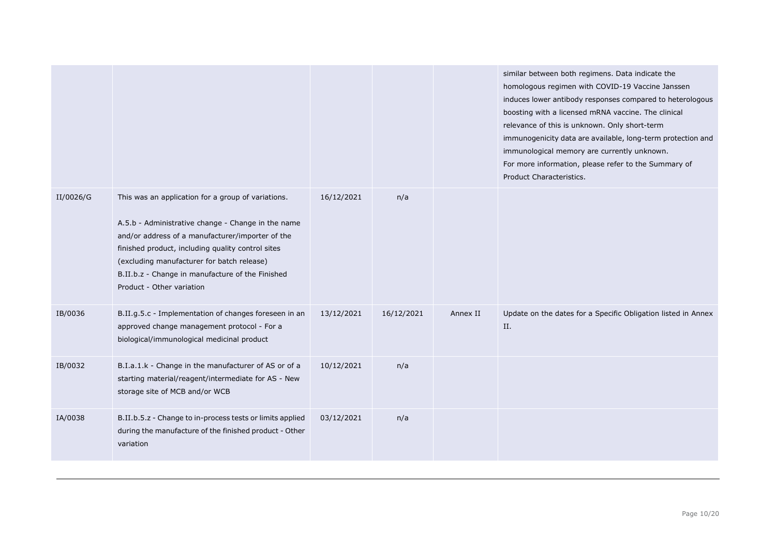|           |                                                                                                                                                                                                                                                                                                                                                  |            |            |          | similar between both regimens. Data indicate the<br>homologous regimen with COVID-19 Vaccine Janssen<br>induces lower antibody responses compared to heterologous<br>boosting with a licensed mRNA vaccine. The clinical<br>relevance of this is unknown. Only short-term<br>immunogenicity data are available, long-term protection and<br>immunological memory are currently unknown.<br>For more information, please refer to the Summary of<br>Product Characteristics. |
|-----------|--------------------------------------------------------------------------------------------------------------------------------------------------------------------------------------------------------------------------------------------------------------------------------------------------------------------------------------------------|------------|------------|----------|-----------------------------------------------------------------------------------------------------------------------------------------------------------------------------------------------------------------------------------------------------------------------------------------------------------------------------------------------------------------------------------------------------------------------------------------------------------------------------|
| II/0026/G | This was an application for a group of variations.<br>A.5.b - Administrative change - Change in the name<br>and/or address of a manufacturer/importer of the<br>finished product, including quality control sites<br>(excluding manufacturer for batch release)<br>B.II.b.z - Change in manufacture of the Finished<br>Product - Other variation | 16/12/2021 | n/a        |          |                                                                                                                                                                                                                                                                                                                                                                                                                                                                             |
| IB/0036   | B.II.g.5.c - Implementation of changes foreseen in an<br>approved change management protocol - For a<br>biological/immunological medicinal product                                                                                                                                                                                               | 13/12/2021 | 16/12/2021 | Annex II | Update on the dates for a Specific Obligation listed in Annex<br>Π.                                                                                                                                                                                                                                                                                                                                                                                                         |
| IB/0032   | B.I.a.1.k - Change in the manufacturer of AS or of a<br>starting material/reagent/intermediate for AS - New<br>storage site of MCB and/or WCB                                                                                                                                                                                                    | 10/12/2021 | n/a        |          |                                                                                                                                                                                                                                                                                                                                                                                                                                                                             |
| IA/0038   | B.II.b.5.z - Change to in-process tests or limits applied<br>during the manufacture of the finished product - Other<br>variation                                                                                                                                                                                                                 | 03/12/2021 | n/a        |          |                                                                                                                                                                                                                                                                                                                                                                                                                                                                             |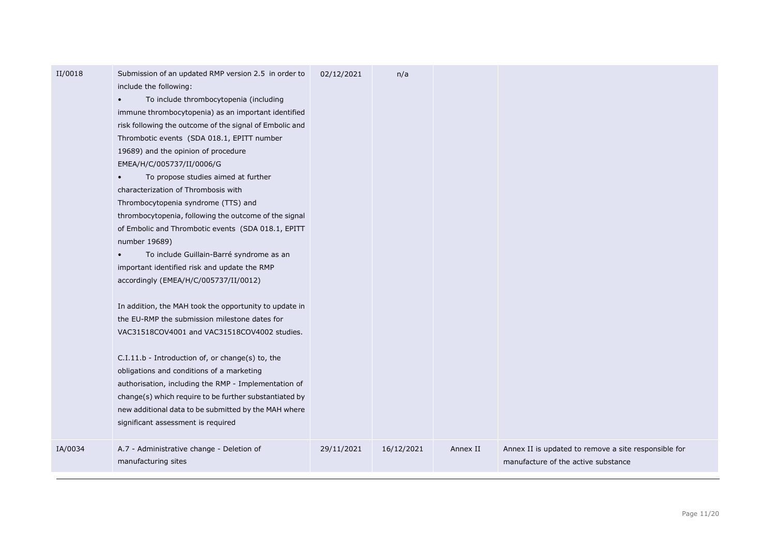| II/0018 | Submission of an updated RMP version 2.5 in order to<br>include the following:<br>To include thrombocytopenia (including<br>$\bullet$<br>immune thrombocytopenia) as an important identified<br>risk following the outcome of the signal of Embolic and<br>Thrombotic events (SDA 018.1, EPITT number<br>19689) and the opinion of procedure<br>EMEA/H/C/005737/II/0006/G<br>To propose studies aimed at further<br>characterization of Thrombosis with<br>Thrombocytopenia syndrome (TTS) and<br>thrombocytopenia, following the outcome of the signal<br>of Embolic and Thrombotic events (SDA 018.1, EPITT<br>number 19689)<br>To include Guillain-Barré syndrome as an<br>$\bullet$<br>important identified risk and update the RMP<br>accordingly (EMEA/H/C/005737/II/0012)<br>In addition, the MAH took the opportunity to update in<br>the EU-RMP the submission milestone dates for<br>VAC31518COV4001 and VAC31518COV4002 studies.<br>C.I.11.b - Introduction of, or change(s) to, the<br>obligations and conditions of a marketing<br>authorisation, including the RMP - Implementation of<br>change(s) which require to be further substantiated by<br>new additional data to be submitted by the MAH where<br>significant assessment is required | 02/12/2021 | n/a        |          |                                                                                             |
|---------|--------------------------------------------------------------------------------------------------------------------------------------------------------------------------------------------------------------------------------------------------------------------------------------------------------------------------------------------------------------------------------------------------------------------------------------------------------------------------------------------------------------------------------------------------------------------------------------------------------------------------------------------------------------------------------------------------------------------------------------------------------------------------------------------------------------------------------------------------------------------------------------------------------------------------------------------------------------------------------------------------------------------------------------------------------------------------------------------------------------------------------------------------------------------------------------------------------------------------------------------------------------|------------|------------|----------|---------------------------------------------------------------------------------------------|
| IA/0034 | A.7 - Administrative change - Deletion of<br>manufacturing sites                                                                                                                                                                                                                                                                                                                                                                                                                                                                                                                                                                                                                                                                                                                                                                                                                                                                                                                                                                                                                                                                                                                                                                                             | 29/11/2021 | 16/12/2021 | Annex II | Annex II is updated to remove a site responsible for<br>manufacture of the active substance |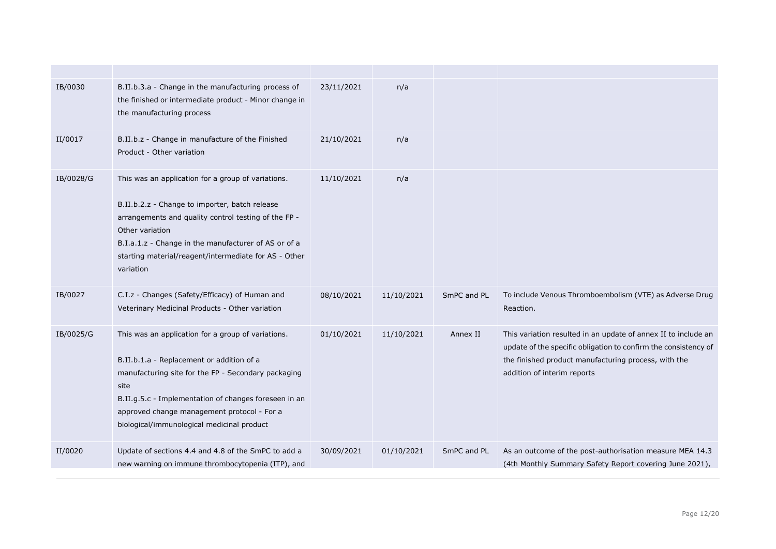| IB/0030   | B.II.b.3.a - Change in the manufacturing process of<br>the finished or intermediate product - Minor change in<br>the manufacturing process                                                                                                                                                                           | 23/11/2021 | n/a        |             |                                                                                                                                                                                                                          |
|-----------|----------------------------------------------------------------------------------------------------------------------------------------------------------------------------------------------------------------------------------------------------------------------------------------------------------------------|------------|------------|-------------|--------------------------------------------------------------------------------------------------------------------------------------------------------------------------------------------------------------------------|
| II/0017   | B.II.b.z - Change in manufacture of the Finished<br>Product - Other variation                                                                                                                                                                                                                                        | 21/10/2021 | n/a        |             |                                                                                                                                                                                                                          |
| IB/0028/G | This was an application for a group of variations.<br>B.II.b.2.z - Change to importer, batch release<br>arrangements and quality control testing of the FP -<br>Other variation<br>B.I.a.1.z - Change in the manufacturer of AS or of a<br>starting material/reagent/intermediate for AS - Other<br>variation        | 11/10/2021 | n/a        |             |                                                                                                                                                                                                                          |
| IB/0027   | C.I.z - Changes (Safety/Efficacy) of Human and<br>Veterinary Medicinal Products - Other variation                                                                                                                                                                                                                    | 08/10/2021 | 11/10/2021 | SmPC and PL | To include Venous Thromboembolism (VTE) as Adverse Drug<br>Reaction.                                                                                                                                                     |
| IB/0025/G | This was an application for a group of variations.<br>B.II.b.1.a - Replacement or addition of a<br>manufacturing site for the FP - Secondary packaging<br>site<br>B.II.g.5.c - Implementation of changes foreseen in an<br>approved change management protocol - For a<br>biological/immunological medicinal product | 01/10/2021 | 11/10/2021 | Annex II    | This variation resulted in an update of annex II to include an<br>update of the specific obligation to confirm the consistency of<br>the finished product manufacturing process, with the<br>addition of interim reports |
| II/0020   | Update of sections 4.4 and 4.8 of the SmPC to add a<br>new warning on immune thrombocytopenia (ITP), and                                                                                                                                                                                                             | 30/09/2021 | 01/10/2021 | SmPC and PL | As an outcome of the post-authorisation measure MEA 14.3<br>(4th Monthly Summary Safety Report covering June 2021),                                                                                                      |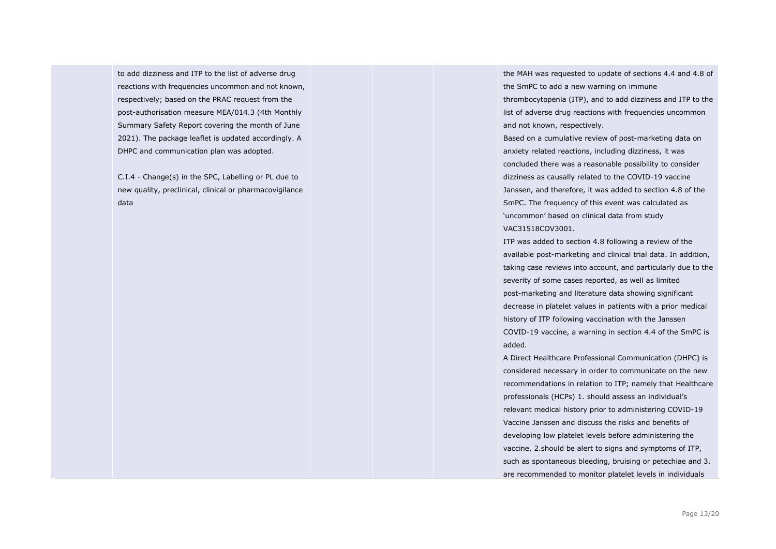to add dizziness and ITP to the list of adverse drug reactions with frequencies uncommon and not known, respectively; based on the PRAC request from the post-authorisation measure MEA/014.3 (4th Monthly Summary Safety Report covering the month of June 2021). The package leaflet is updated accordingly. A DHPC and communication plan was adopted.

C.I.4 - Change(s) in the SPC, Labelling or PL due to new quality, preclinical, clinical or pharmacovigilance data

the MAH was requested to update of sections 4.4 and 4.8 of the SmPC to add a new warning on immune thrombocytopenia (ITP), and to add dizziness and ITP to the list of adverse drug reactions with frequencies uncommon and not known, respectively.

Based on a cumulative review of post-marketing data on anxiety related reactions, including dizziness, it was concluded there was a reasonable possibility to consider dizziness as causally related to the COVID-19 vaccine Janssen, and therefore, it was added to section 4.8 of the SmPC. The frequency of this event was calculated as 'uncommon' based on clinical data from study VAC31518COV3001.

ITP was added to section 4.8 following a review of the available post-marketing and clinical trial data. In addition, taking case reviews into account, and particularly due to the severity of some cases reported, as well as limited post-marketing and literature data showing significant decrease in platelet values in patients with a prior medical history of ITP following vaccination with the Janssen COVID-19 vaccine, a warning in section 4.4 of the SmPC is added.

A Direct Healthcare Professional Communication (DHPC) is considered necessary in order to communicate on the new recommendations in relation to ITP; namely that Healthcare professionals (HCPs) 1. should assess an individual's relevant medical history prior to administering COVID-19 Vaccine Janssen and discuss the risks and benefits of developing low platelet levels before administering the vaccine, 2.should be alert to signs and symptoms of ITP, such as spontaneous bleeding, bruising or petechiae and 3. are recommended to monitor platelet levels in individuals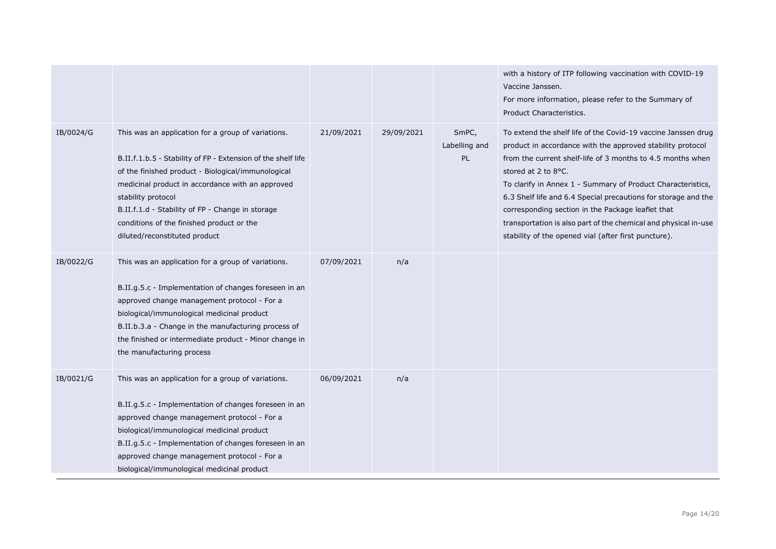|           |                                                                                                                                                                                                                                                                                                                                                                                      |            |            |                              | with a history of ITP following vaccination with COVID-19<br>Vaccine Janssen.<br>For more information, please refer to the Summary of<br>Product Characteristics.                                                                                                                                                                                                                                                                                                                                                                 |
|-----------|--------------------------------------------------------------------------------------------------------------------------------------------------------------------------------------------------------------------------------------------------------------------------------------------------------------------------------------------------------------------------------------|------------|------------|------------------------------|-----------------------------------------------------------------------------------------------------------------------------------------------------------------------------------------------------------------------------------------------------------------------------------------------------------------------------------------------------------------------------------------------------------------------------------------------------------------------------------------------------------------------------------|
| IB/0024/G | This was an application for a group of variations.<br>B.II.f.1.b.5 - Stability of FP - Extension of the shelf life<br>of the finished product - Biological/immunological<br>medicinal product in accordance with an approved<br>stability protocol<br>B.II.f.1.d - Stability of FP - Change in storage<br>conditions of the finished product or the<br>diluted/reconstituted product | 21/09/2021 | 29/09/2021 | SmPC,<br>Labelling and<br>PL | To extend the shelf life of the Covid-19 vaccine Janssen drug<br>product in accordance with the approved stability protocol<br>from the current shelf-life of 3 months to 4.5 months when<br>stored at 2 to 8°C.<br>To clarify in Annex 1 - Summary of Product Characteristics,<br>6.3 Shelf life and 6.4 Special precautions for storage and the<br>corresponding section in the Package leaflet that<br>transportation is also part of the chemical and physical in-use<br>stability of the opened vial (after first puncture). |
| IB/0022/G | This was an application for a group of variations.<br>B.II.g.5.c - Implementation of changes foreseen in an<br>approved change management protocol - For a<br>biological/immunological medicinal product<br>B.II.b.3.a - Change in the manufacturing process of<br>the finished or intermediate product - Minor change in<br>the manufacturing process                               | 07/09/2021 | n/a        |                              |                                                                                                                                                                                                                                                                                                                                                                                                                                                                                                                                   |
| IB/0021/G | This was an application for a group of variations.<br>B.II.g.5.c - Implementation of changes foreseen in an<br>approved change management protocol - For a<br>biological/immunological medicinal product<br>B.II.g.5.c - Implementation of changes foreseen in an<br>approved change management protocol - For a<br>biological/immunological medicinal product                       | 06/09/2021 | n/a        |                              |                                                                                                                                                                                                                                                                                                                                                                                                                                                                                                                                   |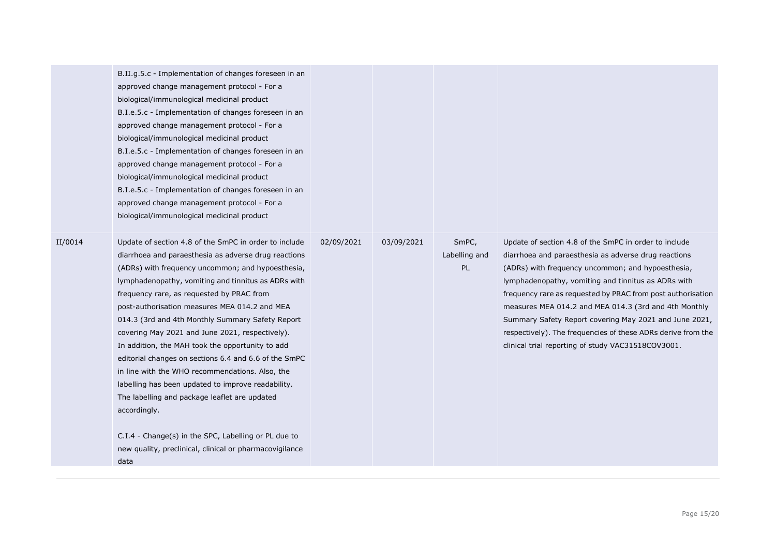|         | B.II.g.5.c - Implementation of changes foreseen in an<br>approved change management protocol - For a<br>biological/immunological medicinal product<br>B.I.e.5.c - Implementation of changes foreseen in an<br>approved change management protocol - For a<br>biological/immunological medicinal product<br>B.I.e.5.c - Implementation of changes foreseen in an<br>approved change management protocol - For a<br>biological/immunological medicinal product<br>B.I.e.5.c - Implementation of changes foreseen in an<br>approved change management protocol - For a<br>biological/immunological medicinal product                                                                                                                                                                                                                                |            |            |                              |                                                                                                                                                                                                                                                                                                                                                                                                                                                                                                                                   |
|---------|--------------------------------------------------------------------------------------------------------------------------------------------------------------------------------------------------------------------------------------------------------------------------------------------------------------------------------------------------------------------------------------------------------------------------------------------------------------------------------------------------------------------------------------------------------------------------------------------------------------------------------------------------------------------------------------------------------------------------------------------------------------------------------------------------------------------------------------------------|------------|------------|------------------------------|-----------------------------------------------------------------------------------------------------------------------------------------------------------------------------------------------------------------------------------------------------------------------------------------------------------------------------------------------------------------------------------------------------------------------------------------------------------------------------------------------------------------------------------|
| II/0014 | Update of section 4.8 of the SmPC in order to include<br>diarrhoea and paraesthesia as adverse drug reactions<br>(ADRs) with frequency uncommon; and hypoesthesia,<br>lymphadenopathy, vomiting and tinnitus as ADRs with<br>frequency rare, as requested by PRAC from<br>post-authorisation measures MEA 014.2 and MEA<br>014.3 (3rd and 4th Monthly Summary Safety Report<br>covering May 2021 and June 2021, respectively).<br>In addition, the MAH took the opportunity to add<br>editorial changes on sections 6.4 and 6.6 of the SmPC<br>in line with the WHO recommendations. Also, the<br>labelling has been updated to improve readability.<br>The labelling and package leaflet are updated<br>accordingly.<br>C.I.4 - Change(s) in the SPC, Labelling or PL due to<br>new quality, preclinical, clinical or pharmacovigilance<br>data | 02/09/2021 | 03/09/2021 | SmPC,<br>Labelling and<br>PL | Update of section 4.8 of the SmPC in order to include<br>diarrhoea and paraesthesia as adverse drug reactions<br>(ADRs) with frequency uncommon; and hypoesthesia,<br>lymphadenopathy, vomiting and tinnitus as ADRs with<br>frequency rare as requested by PRAC from post authorisation<br>measures MEA 014.2 and MEA 014.3 (3rd and 4th Monthly<br>Summary Safety Report covering May 2021 and June 2021,<br>respectively). The frequencies of these ADRs derive from the<br>clinical trial reporting of study VAC31518COV3001. |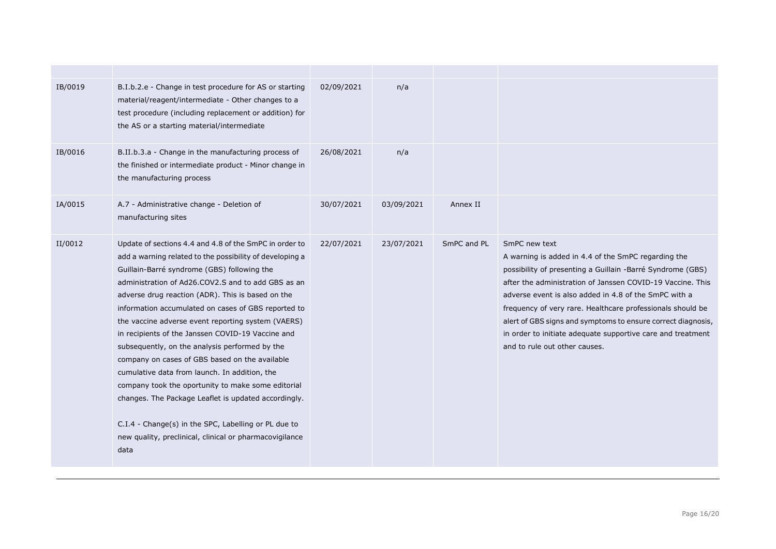| IB/0019 | B.I.b.2.e - Change in test procedure for AS or starting<br>material/reagent/intermediate - Other changes to a<br>test procedure (including replacement or addition) for<br>the AS or a starting material/intermediate                                                                                                                                                                                                                                                                                                                                                                                                                                                                                                                                                                                                                        | 02/09/2021 | n/a        |             |                                                                                                                                                                                                                                                                                                                                                                                                                                                                                         |
|---------|----------------------------------------------------------------------------------------------------------------------------------------------------------------------------------------------------------------------------------------------------------------------------------------------------------------------------------------------------------------------------------------------------------------------------------------------------------------------------------------------------------------------------------------------------------------------------------------------------------------------------------------------------------------------------------------------------------------------------------------------------------------------------------------------------------------------------------------------|------------|------------|-------------|-----------------------------------------------------------------------------------------------------------------------------------------------------------------------------------------------------------------------------------------------------------------------------------------------------------------------------------------------------------------------------------------------------------------------------------------------------------------------------------------|
| IB/0016 | B.II.b.3.a - Change in the manufacturing process of<br>the finished or intermediate product - Minor change in<br>the manufacturing process                                                                                                                                                                                                                                                                                                                                                                                                                                                                                                                                                                                                                                                                                                   | 26/08/2021 | n/a        |             |                                                                                                                                                                                                                                                                                                                                                                                                                                                                                         |
| IA/0015 | A.7 - Administrative change - Deletion of<br>manufacturing sites                                                                                                                                                                                                                                                                                                                                                                                                                                                                                                                                                                                                                                                                                                                                                                             | 30/07/2021 | 03/09/2021 | Annex II    |                                                                                                                                                                                                                                                                                                                                                                                                                                                                                         |
| II/0012 | Update of sections 4.4 and 4.8 of the SmPC in order to<br>add a warning related to the possibility of developing a<br>Guillain-Barré syndrome (GBS) following the<br>administration of Ad26.COV2.S and to add GBS as an<br>adverse drug reaction (ADR). This is based on the<br>information accumulated on cases of GBS reported to<br>the vaccine adverse event reporting system (VAERS)<br>in recipients of the Janssen COVID-19 Vaccine and<br>subsequently, on the analysis performed by the<br>company on cases of GBS based on the available<br>cumulative data from launch. In addition, the<br>company took the oportunity to make some editorial<br>changes. The Package Leaflet is updated accordingly.<br>C.I.4 - Change(s) in the SPC, Labelling or PL due to<br>new quality, preclinical, clinical or pharmacovigilance<br>data | 22/07/2021 | 23/07/2021 | SmPC and PL | SmPC new text<br>A warning is added in 4.4 of the SmPC regarding the<br>possibility of presenting a Guillain -Barré Syndrome (GBS)<br>after the administration of Janssen COVID-19 Vaccine. This<br>adverse event is also added in 4.8 of the SmPC with a<br>frequency of very rare. Healthcare professionals should be<br>alert of GBS signs and symptoms to ensure correct diagnosis,<br>in order to initiate adequate supportive care and treatment<br>and to rule out other causes. |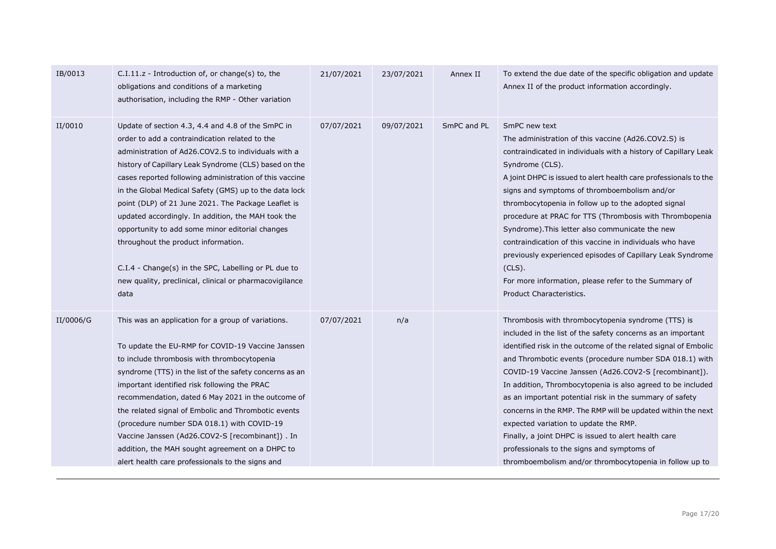| IB/0013   | $C.I.11.z$ - Introduction of, or change(s) to, the<br>obligations and conditions of a marketing<br>authorisation, including the RMP - Other variation                                                                                                                                                                                                                                                                                                                                                                                                                                                                                                                      | 21/07/2021 | 23/07/2021 | Annex II    | To extend the due date of the specific obligation and update<br>Annex II of the product information accordingly.                                                                                                                                                                                                                                                                                                                                                                                                                                                                                                                                                                                             |
|-----------|----------------------------------------------------------------------------------------------------------------------------------------------------------------------------------------------------------------------------------------------------------------------------------------------------------------------------------------------------------------------------------------------------------------------------------------------------------------------------------------------------------------------------------------------------------------------------------------------------------------------------------------------------------------------------|------------|------------|-------------|--------------------------------------------------------------------------------------------------------------------------------------------------------------------------------------------------------------------------------------------------------------------------------------------------------------------------------------------------------------------------------------------------------------------------------------------------------------------------------------------------------------------------------------------------------------------------------------------------------------------------------------------------------------------------------------------------------------|
| II/0010   | Update of section 4.3, 4.4 and 4.8 of the SmPC in<br>order to add a contraindication related to the<br>administration of Ad26.COV2.S to individuals with a<br>history of Capillary Leak Syndrome (CLS) based on the<br>cases reported following administration of this vaccine<br>in the Global Medical Safety (GMS) up to the data lock<br>point (DLP) of 21 June 2021. The Package Leaflet is<br>updated accordingly. In addition, the MAH took the<br>opportunity to add some minor editorial changes<br>throughout the product information.<br>C.I.4 - Change(s) in the SPC, Labelling or PL due to<br>new quality, preclinical, clinical or pharmacovigilance<br>data | 07/07/2021 | 09/07/2021 | SmPC and PL | SmPC new text<br>The administration of this vaccine (Ad26.COV2.S) is<br>contraindicated in individuals with a history of Capillary Leak<br>Syndrome (CLS).<br>A joint DHPC is issued to alert health care professionals to the<br>signs and symptoms of thromboembolism and/or<br>thrombocytopenia in follow up to the adopted signal<br>procedure at PRAC for TTS (Thrombosis with Thrombopenia<br>Syndrome). This letter also communicate the new<br>contraindication of this vaccine in individuals who have<br>previously experienced episodes of Capillary Leak Syndrome<br>(CLS).<br>For more information, please refer to the Summary of<br>Product Characteristics.                                  |
| II/0006/G | This was an application for a group of variations.<br>To update the EU-RMP for COVID-19 Vaccine Janssen<br>to include thrombosis with thrombocytopenia<br>syndrome (TTS) in the list of the safety concerns as an<br>important identified risk following the PRAC<br>recommendation, dated 6 May 2021 in the outcome of<br>the related signal of Embolic and Thrombotic events<br>(procedure number SDA 018.1) with COVID-19<br>Vaccine Janssen (Ad26.COV2-S [recombinant]) . In<br>addition, the MAH sought agreement on a DHPC to<br>alert health care professionals to the signs and                                                                                    | 07/07/2021 | n/a        |             | Thrombosis with thrombocytopenia syndrome (TTS) is<br>included in the list of the safety concerns as an important<br>identified risk in the outcome of the related signal of Embolic<br>and Thrombotic events (procedure number SDA 018.1) with<br>COVID-19 Vaccine Janssen (Ad26.COV2-S [recombinant]).<br>In addition, Thrombocytopenia is also agreed to be included<br>as an important potential risk in the summary of safety<br>concerns in the RMP. The RMP will be updated within the next<br>expected variation to update the RMP.<br>Finally, a joint DHPC is issued to alert health care<br>professionals to the signs and symptoms of<br>thromboembolism and/or thrombocytopenia in follow up to |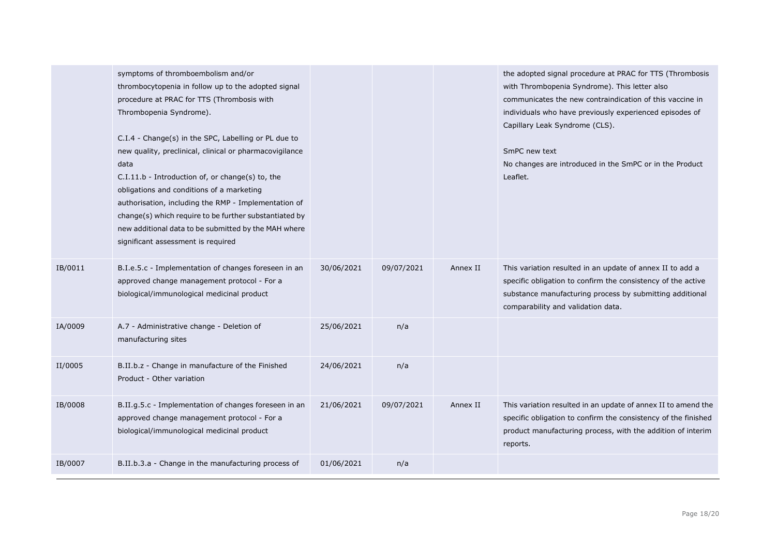|         | symptoms of thromboembolism and/or<br>thrombocytopenia in follow up to the adopted signal<br>procedure at PRAC for TTS (Thrombosis with<br>Thrombopenia Syndrome).<br>C.I.4 - Change(s) in the SPC, Labelling or PL due to<br>new quality, preclinical, clinical or pharmacovigilance<br>data<br>C.I.11.b - Introduction of, or change(s) to, the<br>obligations and conditions of a marketing<br>authorisation, including the RMP - Implementation of<br>change(s) which require to be further substantiated by<br>new additional data to be submitted by the MAH where<br>significant assessment is required |            |            |          | the adopted signal procedure at PRAC for TTS (Thrombosis<br>with Thrombopenia Syndrome). This letter also<br>communicates the new contraindication of this vaccine in<br>individuals who have previously experienced episodes of<br>Capillary Leak Syndrome (CLS).<br>SmPC new text<br>No changes are introduced in the SmPC or in the Product<br>Leaflet. |
|---------|----------------------------------------------------------------------------------------------------------------------------------------------------------------------------------------------------------------------------------------------------------------------------------------------------------------------------------------------------------------------------------------------------------------------------------------------------------------------------------------------------------------------------------------------------------------------------------------------------------------|------------|------------|----------|------------------------------------------------------------------------------------------------------------------------------------------------------------------------------------------------------------------------------------------------------------------------------------------------------------------------------------------------------------|
| IB/0011 | B.I.e.5.c - Implementation of changes foreseen in an<br>approved change management protocol - For a<br>biological/immunological medicinal product                                                                                                                                                                                                                                                                                                                                                                                                                                                              | 30/06/2021 | 09/07/2021 | Annex II | This variation resulted in an update of annex II to add a<br>specific obligation to confirm the consistency of the active<br>substance manufacturing process by submitting additional<br>comparability and validation data.                                                                                                                                |
| IA/0009 | A.7 - Administrative change - Deletion of<br>manufacturing sites                                                                                                                                                                                                                                                                                                                                                                                                                                                                                                                                               | 25/06/2021 | n/a        |          |                                                                                                                                                                                                                                                                                                                                                            |
| II/0005 | B.II.b.z - Change in manufacture of the Finished<br>Product - Other variation                                                                                                                                                                                                                                                                                                                                                                                                                                                                                                                                  | 24/06/2021 | n/a        |          |                                                                                                                                                                                                                                                                                                                                                            |
| IB/0008 | B.II.g.5.c - Implementation of changes foreseen in an<br>approved change management protocol - For a<br>biological/immunological medicinal product                                                                                                                                                                                                                                                                                                                                                                                                                                                             | 21/06/2021 | 09/07/2021 | Annex II | This variation resulted in an update of annex II to amend the<br>specific obligation to confirm the consistency of the finished<br>product manufacturing process, with the addition of interim<br>reports.                                                                                                                                                 |
| IB/0007 | B.II.b.3.a - Change in the manufacturing process of                                                                                                                                                                                                                                                                                                                                                                                                                                                                                                                                                            | 01/06/2021 | n/a        |          |                                                                                                                                                                                                                                                                                                                                                            |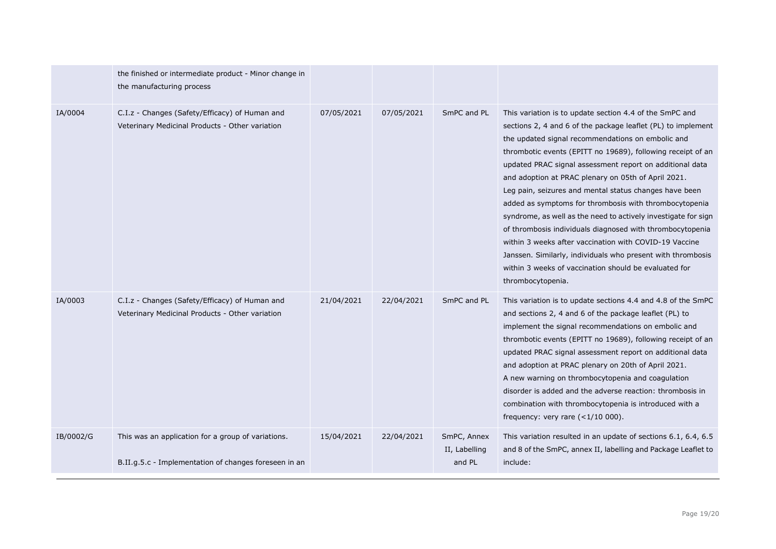|           | the finished or intermediate product - Minor change in<br>the manufacturing process                         |            |            |                                        |                                                                                                                                                                                                                                                                                                                                                                                                                                                                                                                                                                                                                                                                                                                                                                                                                          |
|-----------|-------------------------------------------------------------------------------------------------------------|------------|------------|----------------------------------------|--------------------------------------------------------------------------------------------------------------------------------------------------------------------------------------------------------------------------------------------------------------------------------------------------------------------------------------------------------------------------------------------------------------------------------------------------------------------------------------------------------------------------------------------------------------------------------------------------------------------------------------------------------------------------------------------------------------------------------------------------------------------------------------------------------------------------|
| IA/0004   | C.I.z - Changes (Safety/Efficacy) of Human and<br>Veterinary Medicinal Products - Other variation           | 07/05/2021 | 07/05/2021 | SmPC and PL                            | This variation is to update section 4.4 of the SmPC and<br>sections 2, 4 and 6 of the package leaflet (PL) to implement<br>the updated signal recommendations on embolic and<br>thrombotic events (EPITT no 19689), following receipt of an<br>updated PRAC signal assessment report on additional data<br>and adoption at PRAC plenary on 05th of April 2021.<br>Leg pain, seizures and mental status changes have been<br>added as symptoms for thrombosis with thrombocytopenia<br>syndrome, as well as the need to actively investigate for sign<br>of thrombosis individuals diagnosed with thrombocytopenia<br>within 3 weeks after vaccination with COVID-19 Vaccine<br>Janssen. Similarly, individuals who present with thrombosis<br>within 3 weeks of vaccination should be evaluated for<br>thrombocytopenia. |
| IA/0003   | C.I.z - Changes (Safety/Efficacy) of Human and<br>Veterinary Medicinal Products - Other variation           | 21/04/2021 | 22/04/2021 | SmPC and PL                            | This variation is to update sections 4.4 and 4.8 of the SmPC<br>and sections 2, 4 and 6 of the package leaflet (PL) to<br>implement the signal recommendations on embolic and<br>thrombotic events (EPITT no 19689), following receipt of an<br>updated PRAC signal assessment report on additional data<br>and adoption at PRAC plenary on 20th of April 2021.<br>A new warning on thrombocytopenia and coagulation<br>disorder is added and the adverse reaction: thrombosis in<br>combination with thrombocytopenia is introduced with a<br>frequency: very rare $(<1/10 000)$ .                                                                                                                                                                                                                                      |
| IB/0002/G | This was an application for a group of variations.<br>B.II.g.5.c - Implementation of changes foreseen in an | 15/04/2021 | 22/04/2021 | SmPC, Annex<br>II, Labelling<br>and PL | This variation resulted in an update of sections 6.1, 6.4, 6.5<br>and 8 of the SmPC, annex II, labelling and Package Leaflet to<br>include:                                                                                                                                                                                                                                                                                                                                                                                                                                                                                                                                                                                                                                                                              |
|           |                                                                                                             |            |            |                                        |                                                                                                                                                                                                                                                                                                                                                                                                                                                                                                                                                                                                                                                                                                                                                                                                                          |